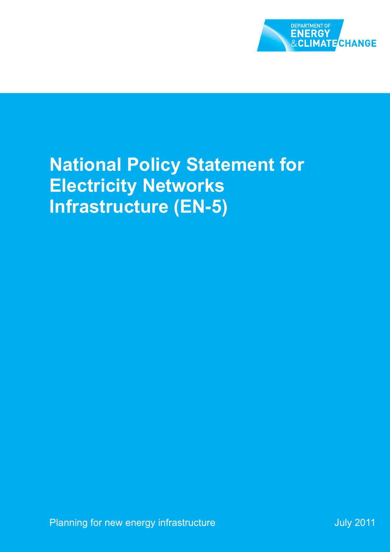

## **National Policy Statement for Electricity Networks Infrastructure (EN-5)**

July 2011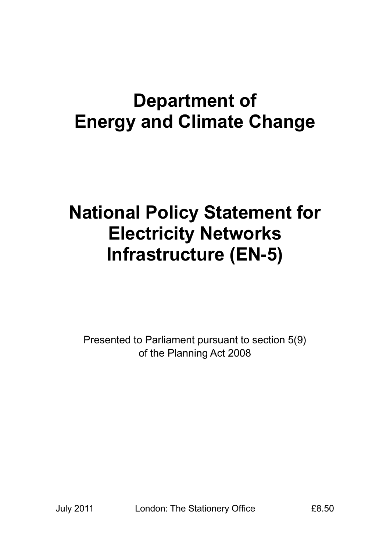## **Department of Energy and Climate Change**

## **National Policy Statement for Electricity Networks Infrastructure (EN-5)**

Presented to Parliament pursuant to section 5(9) of the Planning Act 2008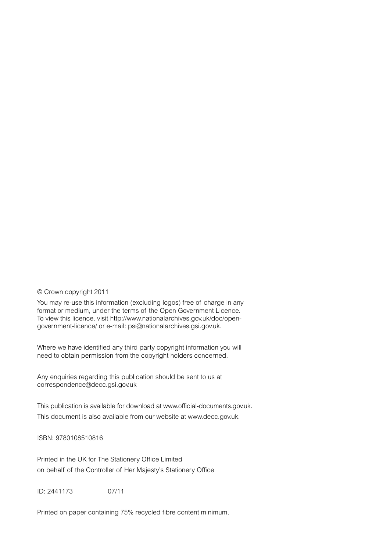#### © Crown copyright 2011

You may re-use this information (excluding logos) free of charge in any format or medium, under the terms of the Open Government Licence. To view this licence, visit http://www.nationalarchives.gov.uk/doc/opengovernment-licence/ or e-mail: psi@nationalarchives.gsi.gov.uk.

Where we have identified any third party copyright information you will need to obtain permission from the copyright holders concerned.

Any enquiries regarding this publication should be sent to us at correspondence@decc.gsi.gov.uk

This publication is available for download at www.official-documents.gov.uk. This document is also available from our website at www.decc.gov.uk.

ISBN: 9780108510816

Printed in the UK for The Stationery Office Limited on behalf of the Controller of Her Majesty's Stationery Office

ID: 2441173 07/11

Printed on paper containing 75% recycled fibre content minimum.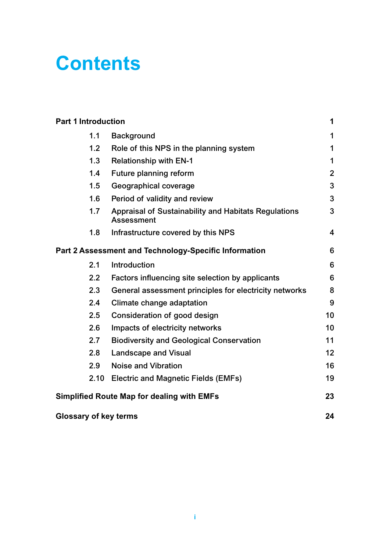## **Contents**

| <b>Part 1 Introduction</b>   |                                                                           | 1                       |
|------------------------------|---------------------------------------------------------------------------|-------------------------|
| 1.1                          | <b>Background</b>                                                         | 1                       |
| 1.2                          | Role of this NPS in the planning system                                   | 1                       |
| 1.3                          | <b>Relationship with EN-1</b>                                             | 1                       |
| 1.4                          | Future planning reform                                                    | $\overline{2}$          |
| 1.5                          | Geographical coverage                                                     | 3                       |
| 1.6                          | Period of validity and review                                             | 3                       |
| 1.7                          | Appraisal of Sustainability and Habitats Regulations<br><b>Assessment</b> | 3                       |
| 1.8                          | Infrastructure covered by this NPS                                        | $\overline{\mathbf{4}}$ |
|                              | Part 2 Assessment and Technology-Specific Information                     | 6                       |
| 2.1                          | Introduction                                                              | 6                       |
| $2.2\phantom{0}$             | Factors influencing site selection by applicants                          | 6                       |
| 2.3                          | General assessment principles for electricity networks                    | 8                       |
| 2.4                          | Climate change adaptation                                                 | 9                       |
| 2.5                          | Consideration of good design                                              | 10                      |
| 2.6                          | Impacts of electricity networks                                           | 10                      |
| 2.7                          | <b>Biodiversity and Geological Conservation</b>                           | 11                      |
| 2.8                          | <b>Landscape and Visual</b>                                               | 12                      |
| 2.9                          | <b>Noise and Vibration</b>                                                | 16                      |
| 2.10                         | <b>Electric and Magnetic Fields (EMFs)</b>                                | 19                      |
|                              | <b>Simplified Route Map for dealing with EMFs</b>                         | 23                      |
| <b>Glossary of key terms</b> |                                                                           | 24                      |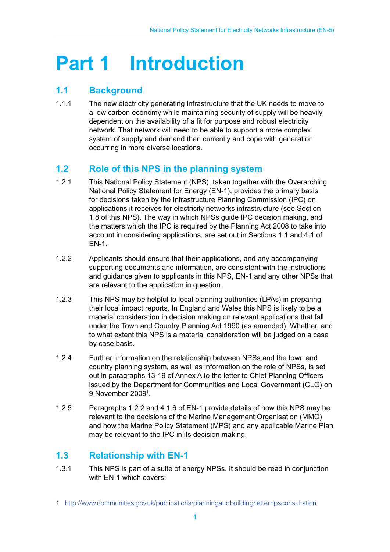# **Part 1 Introduction**

## **1.1 Background**

1.1.1 The new electricity generating infrastructure that the UK needs to move to a low carbon economy while maintaining security of supply will be heavily dependent on the availability of a fit for purpose and robust electricity network. That network will need to be able to support a more complex system of supply and demand than currently and cope with generation occurring in more diverse locations.

## **1.2 Role of this NPS in the planning system**

- 1.2.1 This National Policy Statement (NPS), taken together with the Overarching National Policy Statement for Energy (EN-1), provides the primary basis for decisions taken by the Infrastructure Planning Commission (IPC) on applications it receives for electricity networks infrastructure (see Section 1.8 of this NPS). The way in which NPSs guide IPC decision making, and the matters which the IPC is required by the Planning Act 2008 to take into account in considering applications, are set out in Sections 1.1 and 4.1 of EN-1.
- 1.2.2 Applicants should ensure that their applications, and any accompanying supporting documents and information, are consistent with the instructions and guidance given to applicants in this NPS, EN-1 and any other NPSs that are relevant to the application in question.
- 1.2.3 This NPS may be helpful to local planning authorities (LPAs) in preparing their local impact reports. In England and Wales this NPS is likely to be a material consideration in decision making on relevant applications that fall under the Town and Country Planning Act 1990 (as amended). Whether, and to what extent this NPS is a material consideration will be judged on a case by case basis.
- 1.2.4 Further information on the relationship between NPSs and the town and country planning system, as well as information on the role of NPSs, is set out in paragraphs 13-19 of Annex A to the letter to Chief Planning Officers issued by the Department for Communities and Local Government (CLG) on 9 November 20091 .
- 1.2.5 Paragraphs 1.2.2 and 4.1.6 of EN-1 provide details of how this NPS may be relevant to the decisions of the Marine Management Organisation (MMO) and how the Marine Policy Statement (MPS) and any applicable Marine Plan may be relevant to the IPC in its decision making.

## **1.3 Relationship with EN-1**

1.3.1 This NPS is part of a suite of energy NPSs. It should be read in conjunction with EN-1 which covers:

<sup>1</sup> http://www.communities.gov.uk/publications/planningandbuilding/letternpsconsultation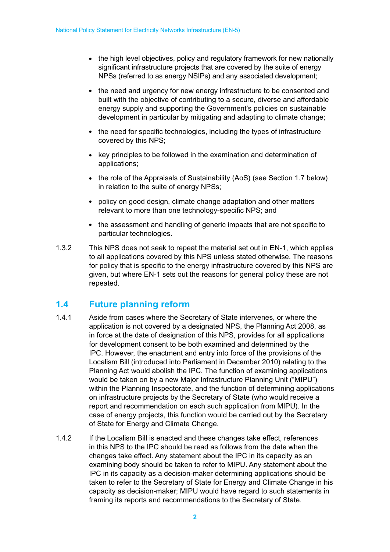- the high level objectives, policy and regulatory framework for new nationally significant infrastructure projects that are covered by the suite of energy NPSs (referred to as energy NSIPs) and any associated development;
- the need and urgency for new energy infrastructure to be consented and built with the objective of contributing to a secure, diverse and affordable energy supply and supporting the Government's policies on sustainable development in particular by mitigating and adapting to climate change;
- the need for specific technologies, including the types of infrastructure covered by this NPS;
- key principles to be followed in the examination and determination of applications;
- the role of the Appraisals of Sustainability (AoS) (see Section 1.7 below) in relation to the suite of energy NPSs;
- policy on good design, climate change adaptation and other matters relevant to more than one technology-specific NPS; and
- the assessment and handling of generic impacts that are not specific to particular technologies.
- 1.3.2 This NPS does not seek to repeat the material set out in EN-1, which applies to all applications covered by this NPS unless stated otherwise. The reasons for policy that is specific to the energy infrastructure covered by this NPS are given, but where EN-1 sets out the reasons for general policy these are not repeated.

### **1.4 Future planning reform**

- 1.4.1 Aside from cases where the Secretary of State intervenes, or where the application is not covered by a designated NPS, the Planning Act 2008, as in force at the date of designation of this NPS, provides for all applications for development consent to be both examined and determined by the IPC. However, the enactment and entry into force of the provisions of the Localism Bill (introduced into Parliament in December 2010) relating to the Planning Act would abolish the IPC. The function of examining applications would be taken on by a new Major Infrastructure Planning Unit ("MIPU") within the Planning Inspectorate, and the function of determining applications on infrastructure projects by the Secretary of State (who would receive a report and recommendation on each such application from MIPU). In the case of energy projects, this function would be carried out by the Secretary of State for Energy and Climate Change.
- 1.4.2 If the Localism Bill is enacted and these changes take effect, references in this NPS to the IPC should be read as follows from the date when the changes take effect. Any statement about the IPC in its capacity as an examining body should be taken to refer to MIPU. Any statement about the IPC in its capacity as a decision-maker determining applications should be taken to refer to the Secretary of State for Energy and Climate Change in his capacity as decision-maker; MIPU would have regard to such statements in framing its reports and recommendations to the Secretary of State.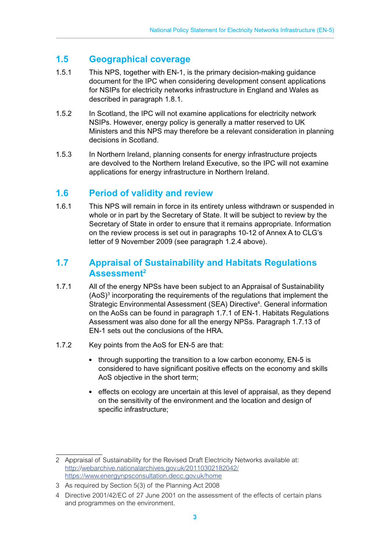### **1.5 Geographical coverage**

- 1.5.1 This NPS, together with EN-1, is the primary decision-making guidance document for the IPC when considering development consent applications for NSIPs for electricity networks infrastructure in England and Wales as described in paragraph 1.8.1.
- 1.5.2 In Scotland, the IPC will not examine applications for electricity network NSIPs. However, energy policy is generally a matter reserved to UK Ministers and this NPS may therefore be a relevant consideration in planning decisions in Scotland.
- 1.5.3 In Northern Ireland, planning consents for energy infrastructure projects are devolved to the Northern Ireland Executive, so the IPC will not examine applications for energy infrastructure in Northern Ireland.

### **1.6 Period of validity and review**

1.6.1 This NPS will remain in force in its entirety unless withdrawn or suspended in whole or in part by the Secretary of State. It will be subject to review by the Secretary of State in order to ensure that it remains appropriate. Information on the review process is set out in paragraphs 10-12 of Annex A to CLG's letter of 9 November 2009 (see paragraph 1.2.4 above).

#### **1.7 Appraisal of Sustainability and Habitats Regulations Assessment2**

- 1.7.1 All of the energy NPSs have been subject to an Appraisal of Sustainability  $(AoS)<sup>3</sup>$  incorporating the requirements of the regulations that implement the Strategic Environmental Assessment (SEA) Directive<sup>4</sup>. General information on the AoSs can be found in paragraph 1.7.1 of EN-1. Habitats Regulations Assessment was also done for all the energy NPSs. Paragraph 1.7.13 of EN-1 sets out the conclusions of the HRA.
- 1.7.2 Key points from the AoS for EN-5 are that:
	- through supporting the transition to a low carbon economy, EN-5 is considered to have significant positive effects on the economy and skills AoS objective in the short term;
	- effects on ecology are uncertain at this level of appraisal, as they depend on the sensitivity of the environment and the location and design of specific infrastructure;

<sup>2</sup> Appraisal of Sustainability for the Revised Draft Electricity Networks available at: http://webarchive.nationalarchives.gov.uk/20110302182042/ https://www.energynpsconsultation.decc.gov.uk/home

<sup>3</sup> As required by Section 5(3) of the Planning Act 2008

<sup>4</sup> Directive 2001/42/EC of 27 June 2001 on the assessment of the effects of certain plans and programmes on the environment.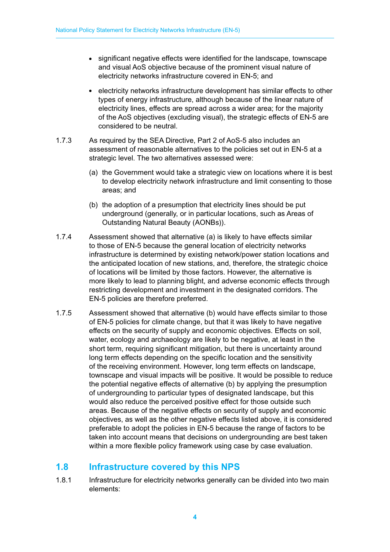- significant negative effects were identified for the landscape, townscape and visual AoS objective because of the prominent visual nature of electricity networks infrastructure covered in EN-5; and
- electricity networks infrastructure development has similar effects to other types of energy infrastructure, although because of the linear nature of electricity lines, effects are spread across a wider area; for the majority of the AoS objectives (excluding visual), the strategic effects of EN-5 are considered to be neutral.
- 1.7.3 As required by the SEA Directive, Part 2 of AoS-5 also includes an assessment of reasonable alternatives to the policies set out in EN-5 at a strategic level. The two alternatives assessed were:
	- (a) the Government would take a strategic view on locations where it is best to develop electricity network infrastructure and limit consenting to those areas; and
	- (b) the adoption of a presumption that electricity lines should be put underground (generally, or in particular locations, such as Areas of Outstanding Natural Beauty (AONBs)).
- 1.7.4 Assessment showed that alternative (a) is likely to have effects similar to those of EN-5 because the general location of electricity networks infrastructure is determined by existing network/power station locations and the anticipated location of new stations, and, therefore, the strategic choice of locations will be limited by those factors. However, the alternative is more likely to lead to planning blight, and adverse economic effects through restricting development and investment in the designated corridors. The EN-5 policies are therefore preferred.
- 1.7.5 Assessment showed that alternative (b) would have effects similar to those of EN-5 policies for climate change, but that it was likely to have negative effects on the security of supply and economic objectives. Effects on soil, water, ecology and archaeology are likely to be negative, at least in the short term, requiring significant mitigation, but there is uncertainty around long term effects depending on the specific location and the sensitivity of the receiving environment. However, long term effects on landscape, townscape and visual impacts will be positive. It would be possible to reduce the potential negative effects of alternative (b) by applying the presumption of undergrounding to particular types of designated landscape, but this would also reduce the perceived positive effect for those outside such areas. Because of the negative effects on security of supply and economic objectives, as well as the other negative effects listed above, it is considered preferable to adopt the policies in EN-5 because the range of factors to be taken into account means that decisions on undergrounding are best taken within a more flexible policy framework using case by case evaluation.

### **1.8 Infrastructure covered by this NPS**

1.8.1 Infrastructure for electricity networks generally can be divided into two main elements: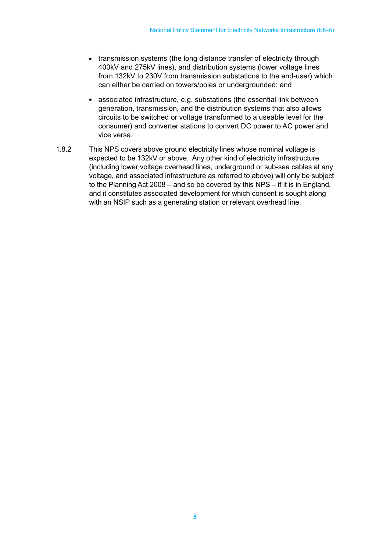- transmission systems (the long distance transfer of electricity through 400kV and 275kV lines), and distribution systems (lower voltage lines from 132kV to 230V from transmission substations to the end-user) which can either be carried on towers/poles or undergrounded; and
- associated infrastructure, e.g. substations (the essential link between generation, transmission, and the distribution systems that also allows circuits to be switched or voltage transformed to a useable level for the consumer) and converter stations to convert DC power to AC power and vice versa.
- 1.8.2 This NPS covers above ground electricity lines whose nominal voltage is expected to be 132kV or above. Any other kind of electricity infrastructure (including lower voltage overhead lines, underground or sub-sea cables at any voltage, and associated infrastructure as referred to above) will only be subject to the Planning Act 2008 – and so be covered by this NPS – if it is in England, and it constitutes associated development for which consent is sought along with an NSIP such as a generating station or relevant overhead line.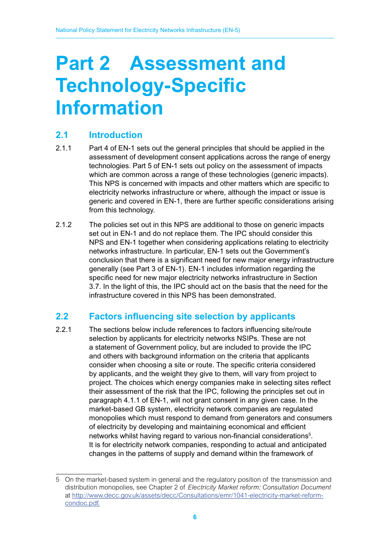# **Part 2 Assessment and Technology-Specific Information**

### **2.1 Introduction**

- 2.1.1 Part 4 of EN-1 sets out the general principles that should be applied in the assessment of development consent applications across the range of energy technologies. Part 5 of EN-1 sets out policy on the assessment of impacts which are common across a range of these technologies (generic impacts). This NPS is concerned with impacts and other matters which are specific to electricity networks infrastructure or where, although the impact or issue is generic and covered in EN-1, there are further specific considerations arising from this technology.
- 2.1.2 The policies set out in this NPS are additional to those on generic impacts set out in EN-1 and do not replace them. The IPC should consider this NPS and EN-1 together when considering applications relating to electricity networks infrastructure. In particular, EN-1 sets out the Government's conclusion that there is a significant need for new major energy infrastructure generally (see Part 3 of EN-1). EN-1 includes information regarding the specific need for new major electricity networks infrastructure in Section 3.7. In the light of this, the IPC should act on the basis that the need for the infrastructure covered in this NPS has been demonstrated.

### **2.2 Factors influencing site selection by applicants**

2.2.1 The sections below include references to factors influencing site/route selection by applicants for electricity networks NSIPs. These are not a statement of Government policy, but are included to provide the IPC and others with background information on the criteria that applicants consider when choosing a site or route. The specific criteria considered by applicants, and the weight they give to them, will vary from project to project. The choices which energy companies make in selecting sites reflect their assessment of the risk that the IPC, following the principles set out in paragraph 4.1.1 of EN-1, will not grant consent in any given case. In the market-based GB system, electricity network companies are regulated monopolies which must respond to demand from generators and consumers of electricity by developing and maintaining economical and efficient networks whilst having regard to various non-financial considerations<sup>5</sup>. It is for electricity network companies, responding to actual and anticipated changes in the patterns of supply and demand within the framework of

<sup>5</sup> On the market-based system in general and the regulatory position of the transmission and distribution monopolies, see Chapter 2 of *Electricity Market reform: Consultation Document* at http://www.decc.gov.uk/assets/decc/Consultations/emr/1041-electricity-market-reformcondoc.pdf.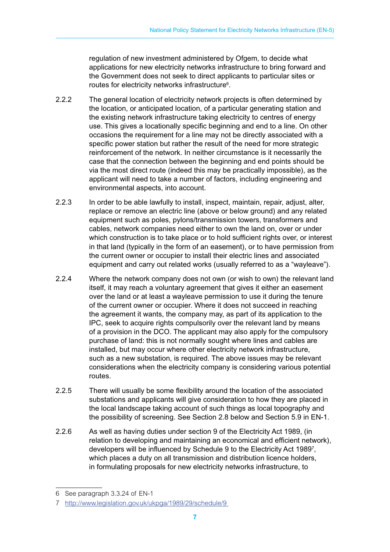regulation of new investment administered by Ofgem, to decide what applications for new electricity networks infrastructure to bring forward and the Government does not seek to direct applicants to particular sites or routes for electricity networks infrastructure $6$ .

- 2.2.2 The general location of electricity network projects is often determined by the location, or anticipated location, of a particular generating station and the existing network infrastructure taking electricity to centres of energy use. This gives a locationally specific beginning and end to a line. On other occasions the requirement for a line may not be directly associated with a specific power station but rather the result of the need for more strategic reinforcement of the network. In neither circumstance is it necessarily the case that the connection between the beginning and end points should be via the most direct route (indeed this may be practically impossible), as the applicant will need to take a number of factors, including engineering and environmental aspects, into account.
- 2.2.3 In order to be able lawfully to install, inspect, maintain, repair, adjust, alter, replace or remove an electric line (above or below ground) and any related equipment such as poles, pylons/transmission towers, transformers and cables, network companies need either to own the land on, over or under which construction is to take place or to hold sufficient rights over, or interest in that land (typically in the form of an easement), or to have permission from the current owner or occupier to install their electric lines and associated equipment and carry out related works (usually referred to as a "wayleave").
- 2.2.4 Where the network company does not own (or wish to own) the relevant land itself, it may reach a voluntary agreement that gives it either an easement over the land or at least a wayleave permission to use it during the tenure of the current owner or occupier. Where it does not succeed in reaching the agreement it wants, the company may, as part of its application to the IPC, seek to acquire rights compulsorily over the relevant land by means of a provision in the DCO. The applicant may also apply for the compulsory purchase of land: this is not normally sought where lines and cables are installed, but may occur where other electricity network infrastructure, such as a new substation, is required. The above issues may be relevant considerations when the electricity company is considering various potential routes.
- 2.2.5 There will usually be some flexibility around the location of the associated substations and applicants will give consideration to how they are placed in the local landscape taking account of such things as local topography and the possibility of screening. See Section 2.8 below and Section 5.9 in EN-1.
- 2.2.6 As well as having duties under section 9 of the Electricity Act 1989, (in relation to developing and maintaining an economical and efficient network), developers will be influenced by Schedule 9 to the Electricity Act 1989<sup>7</sup>, which places a duty on all transmission and distribution licence holders, in formulating proposals for new electricity networks infrastructure, to

<sup>6</sup> See paragraph 3.3.24 of EN-1

<sup>7</sup> http://www.legislation.gov.uk/ukpga/1989/29/schedule/9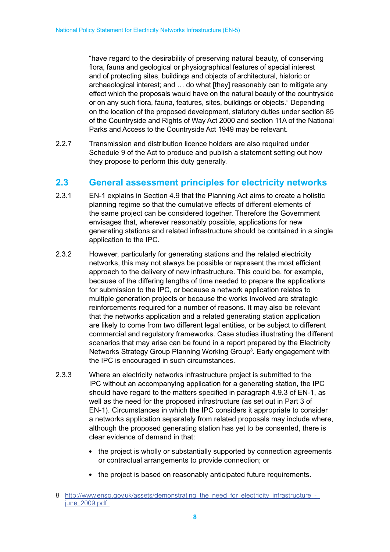"have regard to the desirability of preserving natural beauty, of conserving flora, fauna and geological or physiographical features of special interest and of protecting sites, buildings and objects of architectural, historic or archaeological interest; and … do what [they] reasonably can to mitigate any effect which the proposals would have on the natural beauty of the countryside or on any such flora, fauna, features, sites, buildings or objects." Depending on the location of the proposed development, statutory duties under section 85 of the Countryside and Rights of Way Act 2000 and section 11A of the National Parks and Access to the Countryside Act 1949 may be relevant.

2.2.7 Transmission and distribution licence holders are also required under Schedule 9 of the Act to produce and publish a statement setting out how they propose to perform this duty generally.

#### **2.3 General assessment principles for electricity networks**

- 2.3.1 EN-1 explains in Section 4.9 that the Planning Act aims to create a holistic planning regime so that the cumulative effects of different elements of the same project can be considered together. Therefore the Government envisages that, wherever reasonably possible, applications for new generating stations and related infrastructure should be contained in a single application to the IPC.
- 2.3.2 However, particularly for generating stations and the related electricity networks, this may not always be possible or represent the most efficient approach to the delivery of new infrastructure. This could be, for example, because of the differing lengths of time needed to prepare the applications for submission to the IPC, or because a network application relates to multiple generation projects or because the works involved are strategic reinforcements required for a number of reasons. It may also be relevant that the networks application and a related generating station application are likely to come from two different legal entities, or be subject to different commercial and regulatory frameworks. Case studies illustrating the different scenarios that may arise can be found in a report prepared by the Electricity Networks Strategy Group Planning Working Group<sup>8</sup>. Early engagement with the IPC is encouraged in such circumstances.
- 2.3.3 Where an electricity networks infrastructure project is submitted to the IPC without an accompanying application for a generating station, the IPC should have regard to the matters specified in paragraph 4.9.3 of EN-1, as well as the need for the proposed infrastructure (as set out in Part 3 of EN-1). Circumstances in which the IPC considers it appropriate to consider a networks application separately from related proposals may include where, although the proposed generating station has yet to be consented, there is clear evidence of demand in that:
	- the project is wholly or substantially supported by connection agreements or contractual arrangements to provide connection; or
	- the project is based on reasonably anticipated future requirements.

<sup>8</sup> http://www.ensg.gov.uk/assets/demonstrating\_the\_need\_for\_electricity\_infrastructure\_june\_2009.pdf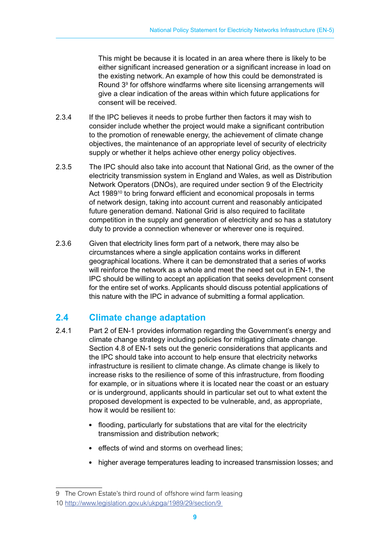This might be because it is located in an area where there is likely to be either significant increased generation or a significant increase in load on the existing network. An example of how this could be demonstrated is Round 3<sup>9</sup> for offshore windfarms where site licensing arrangements will give a clear indication of the areas within which future applications for consent will be received.

- 2.3.4 If the IPC believes it needs to probe further then factors it may wish to consider include whether the project would make a significant contribution to the promotion of renewable energy, the achievement of climate change objectives, the maintenance of an appropriate level of security of electricity supply or whether it helps achieve other energy policy objectives.
- 2.3.5 The IPC should also take into account that National Grid, as the owner of the electricity transmission system in England and Wales, as well as Distribution Network Operators (DNOs), are required under section 9 of the Electricity Act 1989<sup>10</sup> to bring forward efficient and economical proposals in terms of network design, taking into account current and reasonably anticipated future generation demand. National Grid is also required to facilitate competition in the supply and generation of electricity and so has a statutory duty to provide a connection whenever or wherever one is required.
- 2.3.6 Given that electricity lines form part of a network, there may also be circumstances where a single application contains works in different geographical locations. Where it can be demonstrated that a series of works will reinforce the network as a whole and meet the need set out in EN-1, the IPC should be willing to accept an application that seeks development consent for the entire set of works. Applicants should discuss potential applications of this nature with the IPC in advance of submitting a formal application.

## **2.4 Climate change adaptation**

- 2.4.1 Part 2 of EN-1 provides information regarding the Government's energy and climate change strategy including policies for mitigating climate change. Section 4.8 of EN-1 sets out the generic considerations that applicants and the IPC should take into account to help ensure that electricity networks infrastructure is resilient to climate change. As climate change is likely to increase risks to the resilience of some of this infrastructure, from flooding for example, or in situations where it is located near the coast or an estuary or is underground, applicants should in particular set out to what extent the proposed development is expected to be vulnerable, and, as appropriate, how it would be resilient to:
	- flooding, particularly for substations that are vital for the electricity transmission and distribution network;
	- effects of wind and storms on overhead lines;
	- higher average temperatures leading to increased transmission losses; and

<sup>9</sup> The Crown Estate's third round of offshore wind farm leasing 10 http://www.legislation.gov.uk/ukpga/1989/29/section/9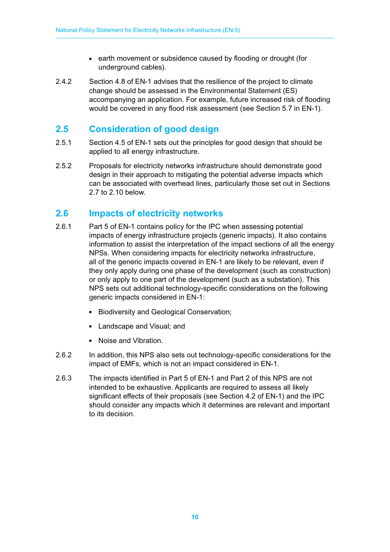- earth movement or subsidence caused by flooding or drought (for underground cables).
- 2.4.2 Section 4.8 of EN-1 advises that the resilience of the project to climate change should be assessed in the Environmental Statement (ES) accompanying an application. For example, future increased risk of flooding would be covered in any flood risk assessment (see Section 5.7 in EN-1).

### **2.5 Consideration of good design**

- 2.5.1 Section 4.5 of EN-1 sets out the principles for good design that should be applied to all energy infrastructure.
- 2.5.2 Proposals for electricity networks infrastructure should demonstrate good design in their approach to mitigating the potential adverse impacts which can be associated with overhead lines, particularly those set out in Sections 2.7 to 2.10 below.

### **2.6 Impacts of electricity networks**

- 2.6.1 Part 5 of EN-1 contains policy for the IPC when assessing potential impacts of energy infrastructure projects (generic impacts). It also contains information to assist the interpretation of the impact sections of all the energy NPSs. When considering impacts for electricity networks infrastructure, all of the generic impacts covered in EN-1 are likely to be relevant, even if they only apply during one phase of the development (such as construction) or only apply to one part of the development (such as a substation). This NPS sets out additional technology-specific considerations on the following generic impacts considered in EN-1:
	- Biodiversity and Geological Conservation;
	- Landscape and Visual; and
	- Noise and Vibration.
- 2.6.2 In addition, this NPS also sets out technology-specific considerations for the impact of EMFs, which is not an impact considered in EN-1.
- 2.6.3 The impacts identified in Part 5 of EN-1 and Part 2 of this NPS are not intended to be exhaustive. Applicants are required to assess all likely significant effects of their proposals (see Section 4.2 of EN-1) and the IPC should consider any impacts which it determines are relevant and important to its decision.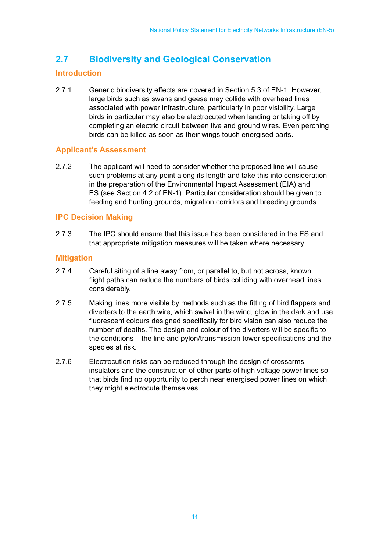## **2.7 Biodiversity and Geological Conservation**

#### **Introduction**

2.7.1 Generic biodiversity effects are covered in Section 5.3 of EN-1. However, large birds such as swans and geese may collide with overhead lines associated with power infrastructure, particularly in poor visibility. Large birds in particular may also be electrocuted when landing or taking off by completing an electric circuit between live and ground wires. Even perching birds can be killed as soon as their wings touch energised parts.

#### **Applicant's Assessment**

2.7.2 The applicant will need to consider whether the proposed line will cause such problems at any point along its length and take this into consideration in the preparation of the Environmental Impact Assessment (EIA) and ES (see Section 4.2 of EN-1). Particular consideration should be given to feeding and hunting grounds, migration corridors and breeding grounds.

#### **IPC Decision Making**

2.7.3 The IPC should ensure that this issue has been considered in the ES and that appropriate mitigation measures will be taken where necessary.

#### **Mitigation**

- 2.7.4 Careful siting of a line away from, or parallel to, but not across, known flight paths can reduce the numbers of birds colliding with overhead lines considerably.
- 2.7.5 Making lines more visible by methods such as the fitting of bird flappers and diverters to the earth wire, which swivel in the wind, glow in the dark and use fluorescent colours designed specifically for bird vision can also reduce the number of deaths. The design and colour of the diverters will be specific to the conditions – the line and pylon/transmission tower specifications and the species at risk.
- 2.7.6 Electrocution risks can be reduced through the design of crossarms, insulators and the construction of other parts of high voltage power lines so that birds find no opportunity to perch near energised power lines on which they might electrocute themselves.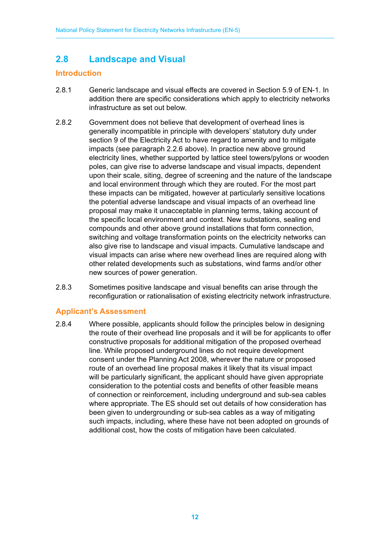## **2.8 Landscape and Visual**

#### **Introduction**

- 2.8.1 Generic landscape and visual effects are covered in Section 5.9 of EN-1. In addition there are specific considerations which apply to electricity networks infrastructure as set out below.
- 2.8.2 Government does not believe that development of overhead lines is generally incompatible in principle with developers' statutory duty under section 9 of the Electricity Act to have regard to amenity and to mitigate impacts (see paragraph 2.2.6 above). In practice new above ground electricity lines, whether supported by lattice steel towers/pylons or wooden poles, can give rise to adverse landscape and visual impacts, dependent upon their scale, siting, degree of screening and the nature of the landscape and local environment through which they are routed. For the most part these impacts can be mitigated, however at particularly sensitive locations the potential adverse landscape and visual impacts of an overhead line proposal may make it unacceptable in planning terms, taking account of the specific local environment and context. New substations, sealing end compounds and other above ground installations that form connection, switching and voltage transformation points on the electricity networks can also give rise to landscape and visual impacts. Cumulative landscape and visual impacts can arise where new overhead lines are required along with other related developments such as substations, wind farms and/or other new sources of power generation.
- 2.8.3 Sometimes positive landscape and visual benefits can arise through the reconfiguration or rationalisation of existing electricity network infrastructure.

#### **Applicant's Assessment**

2.8.4 Where possible, applicants should follow the principles below in designing the route of their overhead line proposals and it will be for applicants to offer constructive proposals for additional mitigation of the proposed overhead line. While proposed underground lines do not require development consent under the Planning Act 2008, wherever the nature or proposed route of an overhead line proposal makes it likely that its visual impact will be particularly significant, the applicant should have given appropriate consideration to the potential costs and benefits of other feasible means of connection or reinforcement, including underground and sub-sea cables where appropriate. The ES should set out details of how consideration has been given to undergrounding or sub-sea cables as a way of mitigating such impacts, including, where these have not been adopted on grounds of additional cost, how the costs of mitigation have been calculated.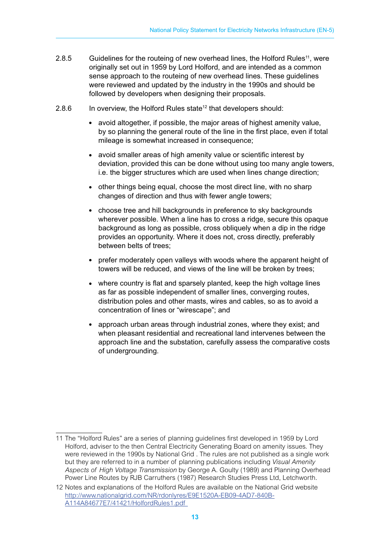- 2.8.5 Guidelines for the routeing of new overhead lines, the Holford Rules<sup>11</sup>, were originally set out in 1959 by Lord Holford, and are intended as a common sense approach to the routeing of new overhead lines. These guidelines were reviewed and updated by the industry in the 1990s and should be followed by developers when designing their proposals.
- 2.8.6 In overview, the Holford Rules state<sup>12</sup> that developers should:
	- avoid altogether, if possible, the major areas of highest amenity value, by so planning the general route of the line in the first place, even if total mileage is somewhat increased in consequence;
	- avoid smaller areas of high amenity value or scientific interest by deviation, provided this can be done without using too many angle towers, i.e. the bigger structures which are used when lines change direction;
	- other things being equal, choose the most direct line, with no sharp changes of direction and thus with fewer angle towers;
	- choose tree and hill backgrounds in preference to sky backgrounds wherever possible. When a line has to cross a ridge, secure this opaque background as long as possible, cross obliquely when a dip in the ridge provides an opportunity. Where it does not, cross directly, preferably between belts of trees;
	- prefer moderately open valleys with woods where the apparent height of towers will be reduced, and views of the line will be broken by trees;
	- where country is flat and sparsely planted, keep the high voltage lines as far as possible independent of smaller lines, converging routes, distribution poles and other masts, wires and cables, so as to avoid a concentration of lines or "wirescape"; and
	- approach urban areas through industrial zones, where they exist; and when pleasant residential and recreational land intervenes between the approach line and the substation, carefully assess the comparative costs of undergrounding.

<sup>11</sup> The "Holford Rules" are a series of planning guidelines first developed in 1959 by Lord Holford, adviser to the then Central Electricity Generating Board on amenity issues. They were reviewed in the 1990s by National Grid . The rules are not published as a single work but they are referred to in a number of planning publications including *Visual Amenity Aspects of High Voltage Transmission* by George A. Goulty (1989) and Planning Overhead Power Line Routes by RJB Carruthers (1987) Research Studies Press Ltd, Letchworth.

<sup>12</sup> Notes and explanations of the Holford Rules are available on the National Grid website http://www.nationalgrid.com/NR/rdonlyres/E9E1520A-EB09-4AD7-840B-A114A84677E7/41421/HolfordRules1.pdf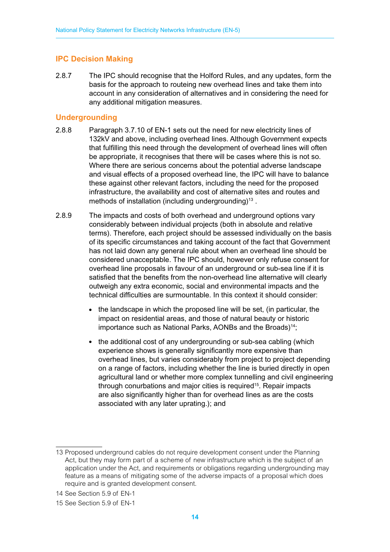#### **IPC Decision Making**

2.8.7 The IPC should recognise that the Holford Rules, and any updates, form the basis for the approach to routeing new overhead lines and take them into account in any consideration of alternatives and in considering the need for any additional mitigation measures.

#### **Undergrounding**

- 2.8.8 Paragraph 3.7.10 of EN-1 sets out the need for new electricity lines of 132kV and above, including overhead lines. Although Government expects that fulfilling this need through the development of overhead lines will often be appropriate, it recognises that there will be cases where this is not so. Where there are serious concerns about the potential adverse landscape and visual effects of a proposed overhead line, the IPC will have to balance these against other relevant factors, including the need for the proposed infrastructure, the availability and cost of alternative sites and routes and methods of installation (including undergrounding)<sup>13</sup>.
- 2.8.9 The impacts and costs of both overhead and underground options vary considerably between individual projects (both in absolute and relative terms). Therefore, each project should be assessed individually on the basis of its specific circumstances and taking account of the fact that Government has not laid down any general rule about when an overhead line should be considered unacceptable. The IPC should, however only refuse consent for overhead line proposals in favour of an underground or sub-sea line if it is satisfied that the benefits from the non-overhead line alternative will clearly outweigh any extra economic, social and environmental impacts and the technical difficulties are surmountable. In this context it should consider:
	- the landscape in which the proposed line will be set, (in particular, the impact on residential areas, and those of natural beauty or historic importance such as National Parks, AONBs and the Broads)<sup>14</sup>;
	- the additional cost of any undergrounding or sub-sea cabling (which experience shows is generally significantly more expensive than overhead lines, but varies considerably from project to project depending on a range of factors, including whether the line is buried directly in open agricultural land or whether more complex tunnelling and civil engineering through conurbations and major cities is required<sup>15</sup>. Repair impacts are also significantly higher than for overhead lines as are the costs associated with any later uprating.); and

<sup>13</sup> Proposed underground cables do not require development consent under the Planning Act, but they may form part of a scheme of new infrastructure which is the subject of an application under the Act, and requirements or obligations regarding undergrounding may feature as a means of mitigating some of the adverse impacts of a proposal which does require and is granted development consent.

<sup>14</sup> See Section 5.9 of EN-1

<sup>15</sup> See Section 5.9 of EN-1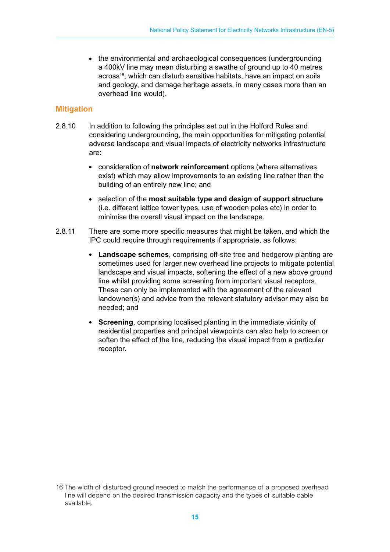• the environmental and archaeological consequences (undergrounding a 400kV line may mean disturbing a swathe of ground up to 40 metres across<sup>16</sup>, which can disturb sensitive habitats, have an impact on soils and geology, and damage heritage assets, in many cases more than an overhead line would).

#### **Mitigation**

- 2.8.10 In addition to following the principles set out in the Holford Rules and considering undergrounding, the main opportunities for mitigating potential adverse landscape and visual impacts of electricity networks infrastructure are:
	- consideration of **network reinforcement** options (where alternatives exist) which may allow improvements to an existing line rather than the building of an entirely new line; and
	- selection of the **most suitable type and design of support structure** (i.e. different lattice tower types, use of wooden poles etc) in order to minimise the overall visual impact on the landscape.
- 2.8.11 There are some more specific measures that might be taken, and which the IPC could require through requirements if appropriate, as follows:
	- **Landscape schemes**, comprising off-site tree and hedgerow planting are sometimes used for larger new overhead line projects to mitigate potential landscape and visual impacts, softening the effect of a new above ground line whilst providing some screening from important visual receptors. These can only be implemented with the agreement of the relevant landowner(s) and advice from the relevant statutory advisor may also be needed; and
	- **Screening**, comprising localised planting in the immediate vicinity of residential properties and principal viewpoints can also help to screen or soften the effect of the line, reducing the visual impact from a particular receptor.

<sup>16</sup> The width of disturbed ground needed to match the performance of a proposed overhead line will depend on the desired transmission capacity and the types of suitable cable available.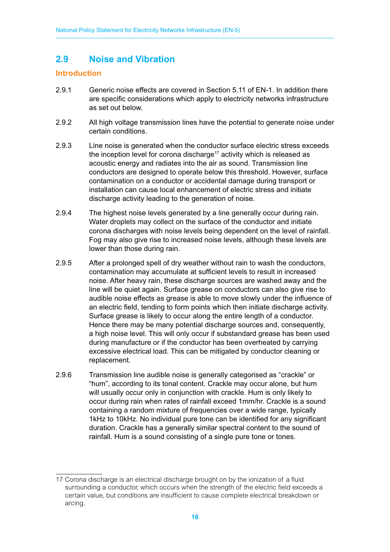## **2.9 Noise and Vibration**

#### **Introduction**

- 2.9.1 Generic noise effects are covered in Section 5.11 of EN-1. In addition there are specific considerations which apply to electricity networks infrastructure as set out below.
- 2.9.2 All high voltage transmission lines have the potential to generate noise under certain conditions.
- 2.9.3 Line noise is generated when the conductor surface electric stress exceeds the inception level for corona discharge<sup>17</sup> activity which is released as acoustic energy and radiates into the air as sound. Transmission line conductors are designed to operate below this threshold. However, surface contamination on a conductor or accidental damage during transport or installation can cause local enhancement of electric stress and initiate discharge activity leading to the generation of noise.
- 2.9.4 The highest noise levels generated by a line generally occur during rain. Water droplets may collect on the surface of the conductor and initiate corona discharges with noise levels being dependent on the level of rainfall. Fog may also give rise to increased noise levels, although these levels are lower than those during rain.
- 2.9.5 After a prolonged spell of dry weather without rain to wash the conductors, contamination may accumulate at sufficient levels to result in increased noise. After heavy rain, these discharge sources are washed away and the line will be quiet again. Surface grease on conductors can also give rise to audible noise effects as grease is able to move slowly under the influence of an electric field, tending to form points which then initiate discharge activity. Surface grease is likely to occur along the entire length of a conductor. Hence there may be many potential discharge sources and, consequently, a high noise level. This will only occur if substandard grease has been used during manufacture or if the conductor has been overheated by carrying excessive electrical load. This can be mitigated by conductor cleaning or replacement.
- 2.9.6 Transmission line audible noise is generally categorised as "crackle" or "hum", according to its tonal content. Crackle may occur alone, but hum will usually occur only in conjunction with crackle. Hum is only likely to occur during rain when rates of rainfall exceed 1mm/hr. Crackle is a sound containing a random mixture of frequencies over a wide range, typically 1kHz to 10kHz. No individual pure tone can be identified for any significant duration. Crackle has a generally similar spectral content to the sound of rainfall. Hum is a sound consisting of a single pure tone or tones.

<sup>17</sup> Corona discharge is an electrical discharge brought on by the ionization of a fluid surrounding a conductor, which occurs when the strength of the electric field exceeds a certain value, but conditions are insufficient to cause complete electrical breakdown or arcing.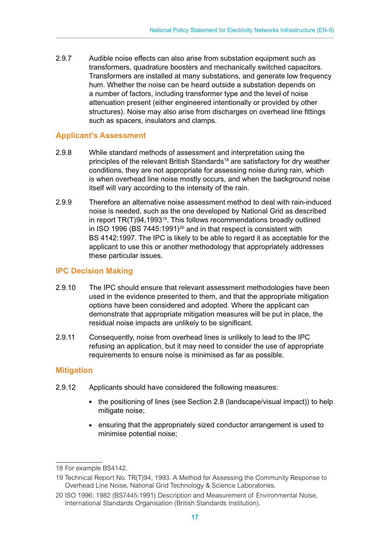2.9.7 Audible noise effects can also arise from substation equipment such as transformers, quadrature boosters and mechanically switched capacitors. Transformers are installed at many substations, and generate low frequency hum. Whether the noise can be heard outside a substation depends on a number of factors, including transformer type and the level of noise attenuation present (either engineered intentionally or provided by other structures). Noise may also arise from discharges on overhead line fittings such as spacers, insulators and clamps.

#### **Applicant's Assessment**

- 2.9.8 While standard methods of assessment and interpretation using the principles of the relevant British Standards<sup>18</sup> are satisfactory for dry weather conditions, they are not appropriate for assessing noise during rain, which is when overhead line noise mostly occurs, and when the background noise itself will vary according to the intensity of the rain.
- 2.9.9 Therefore an alternative noise assessment method to deal with rain-induced noise is needed, such as the one developed by National Grid as described in report TR(T)94,1993<sup>19</sup>. This follows recommendations broadly outlined in ISO 1996 (BS 7445:1991)<sup>20</sup> and in that respect is consistent with BS 4142:1997. The IPC is likely to be able to regard it as acceptable for the applicant to use this or another methodology that appropriately addresses these particular issues.

#### **IPC Decision Making**

- 2.9.10 The IPC should ensure that relevant assessment methodologies have been used in the evidence presented to them, and that the appropriate mitigation options have been considered and adopted. Where the applicant can demonstrate that appropriate mitigation measures will be put in place, the residual noise impacts are unlikely to be significant.
- 2.9.11 Consequently, noise from overhead lines is unlikely to lead to the IPC refusing an application, but it may need to consider the use of appropriate requirements to ensure noise is minimised as far as possible.

#### **Mitigation**

- 2.9.12 Applicants should have considered the following measures:
	- the positioning of lines (see Section 2.8 (landscape/visual impact)) to help mitigate noise;
	- ensuring that the appropriately sized conductor arrangement is used to minimise potential noise;

<sup>18</sup> For example BS4142.

<sup>19</sup> Technical Report No. TR(T)94, 1993. A Method for Assessing the Community Response to Overhead Line Noise, National Grid Technology & Science Laboratories.

<sup>20</sup> ISO 1996: 1982 (BS7445:1991) Description and Measurement of Environmental Noise, International Standards Organisation (British Standards Institution).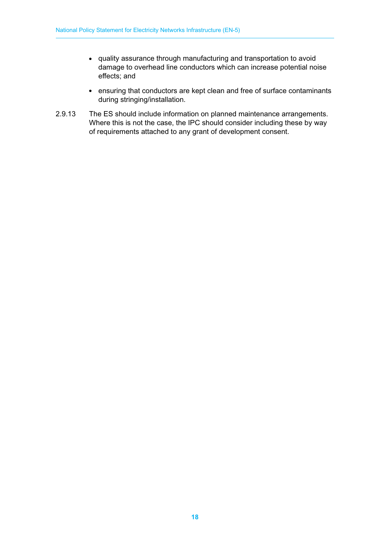- quality assurance through manufacturing and transportation to avoid damage to overhead line conductors which can increase potential noise effects; and
- ensuring that conductors are kept clean and free of surface contaminants during stringing/installation.
- 2.9.13 The ES should include information on planned maintenance arrangements. Where this is not the case, the IPC should consider including these by way of requirements attached to any grant of development consent.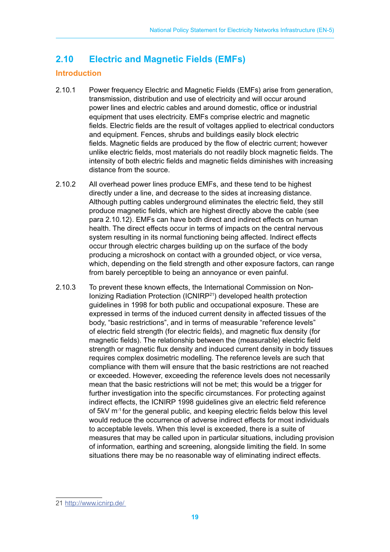## **2.10 Electric and Magnetic Fields (EMFs)**

#### **Introduction**

- 2.10.1 Power frequency Electric and Magnetic Fields (EMFs) arise from generation, transmission, distribution and use of electricity and will occur around power lines and electric cables and around domestic, office or industrial equipment that uses electricity. EMFs comprise electric and magnetic fields. Electric fields are the result of voltages applied to electrical conductors and equipment. Fences, shrubs and buildings easily block electric fields. Magnetic fields are produced by the flow of electric current; however unlike electric fields, most materials do not readily block magnetic fields. The intensity of both electric fields and magnetic fields diminishes with increasing distance from the source.
- 2.10.2 All overhead power lines produce EMFs, and these tend to be highest directly under a line, and decrease to the sides at increasing distance. Although putting cables underground eliminates the electric field, they still produce magnetic fields, which are highest directly above the cable (see para 2.10.12). EMFs can have both direct and indirect effects on human health. The direct effects occur in terms of impacts on the central nervous system resulting in its normal functioning being affected. Indirect effects occur through electric charges building up on the surface of the body producing a microshock on contact with a grounded object, or vice versa, which, depending on the field strength and other exposure factors, can range from barely perceptible to being an annoyance or even painful.
- 2.10.3 To prevent these known effects, the International Commission on Non-Ionizing Radiation Protection (ICNIRP21) developed health protection guidelines in 1998 for both public and occupational exposure. These are expressed in terms of the induced current density in affected tissues of the body, "basic restrictions", and in terms of measurable "reference levels" of electric field strength (for electric fields), and magnetic flux density (for magnetic fields). The relationship between the (measurable) electric field strength or magnetic flux density and induced current density in body tissues requires complex dosimetric modelling. The reference levels are such that compliance with them will ensure that the basic restrictions are not reached or exceeded. However, exceeding the reference levels does not necessarily mean that the basic restrictions will not be met; this would be a trigger for further investigation into the specific circumstances. For protecting against indirect effects, the ICNIRP 1998 guidelines give an electric field reference of 5kV m-1 for the general public, and keeping electric fields below this level would reduce the occurrence of adverse indirect effects for most individuals to acceptable levels. When this level is exceeded, there is a suite of measures that may be called upon in particular situations, including provision of information, earthing and screening, alongside limiting the field. In some situations there may be no reasonable way of eliminating indirect effects.

<sup>21</sup> http://www.icnirp.de/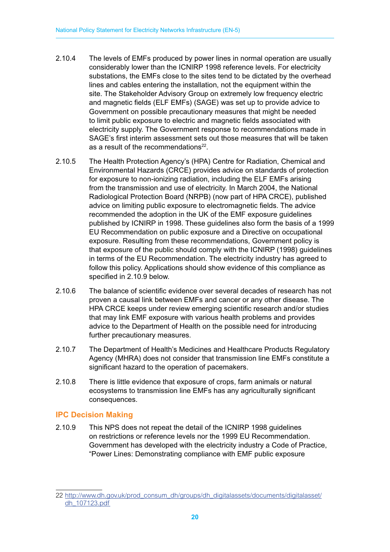- 2.10.4 The levels of EMFs produced by power lines in normal operation are usually considerably lower than the ICNIRP 1998 reference levels. For electricity substations, the EMFs close to the sites tend to be dictated by the overhead lines and cables entering the installation, not the equipment within the site. The Stakeholder Advisory Group on extremely low frequency electric and magnetic fields (ELF EMFs) (SAGE) was set up to provide advice to Government on possible precautionary measures that might be needed to limit public exposure to electric and magnetic fields associated with electricity supply. The Government response to recommendations made in SAGE's first interim assessment sets out those measures that will be taken as a result of the recommendations<sup>22</sup>.
- 2.10.5 The Health Protection Agency's (HPA) Centre for Radiation, Chemical and Environmental Hazards (CRCE) provides advice on standards of protection for exposure to non-ionizing radiation, including the ELF EMFs arising from the transmission and use of electricity. In March 2004, the National Radiological Protection Board (NRPB) (now part of HPA CRCE), published advice on limiting public exposure to electromagnetic fields. The advice recommended the adoption in the UK of the EMF exposure guidelines published by ICNIRP in 1998. These guidelines also form the basis of a 1999 EU Recommendation on public exposure and a Directive on occupational exposure. Resulting from these recommendations, Government policy is that exposure of the public should comply with the ICNIRP (1998) guidelines in terms of the EU Recommendation. The electricity industry has agreed to follow this policy. Applications should show evidence of this compliance as specified in 2.10.9 below.
- 2.10.6 The balance of scientific evidence over several decades of research has not proven a causal link between EMFs and cancer or any other disease. The HPA CRCE keeps under review emerging scientific research and/or studies that may link EMF exposure with various health problems and provides advice to the Department of Health on the possible need for introducing further precautionary measures.
- 2.10.7 The Department of Health's Medicines and Healthcare Products Regulatory Agency (MHRA) does not consider that transmission line EMFs constitute a significant hazard to the operation of pacemakers.
- 2.10.8 There is little evidence that exposure of crops, farm animals or natural ecosystems to transmission line EMFs has any agriculturally significant consequences.

#### **IPC Decision Making**

2.10.9 This NPS does not repeat the detail of the ICNIRP 1998 guidelines on restrictions or reference levels nor the 1999 EU Recommendation. Government has developed with the electricity industry a Code of Practice, "Power Lines: Demonstrating compliance with EMF public exposure

<sup>22</sup> http://www.dh.gov.uk/prod\_consum\_dh/groups/dh\_digitalassets/documents/digitalasset/ dh\_107123.pdf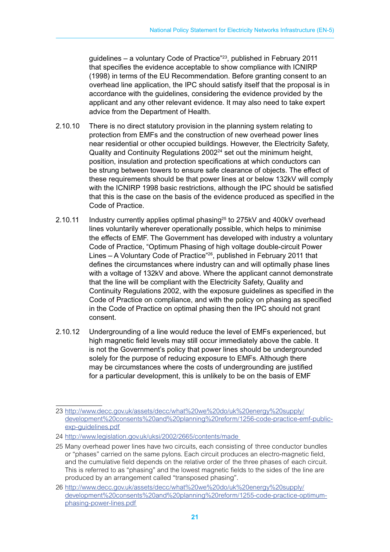guidelines – a voluntary Code of Practice"23, published in February 2011 that specifies the evidence acceptable to show compliance with ICNIRP (1998) in terms of the EU Recommendation. Before granting consent to an overhead line application, the IPC should satisfy itself that the proposal is in accordance with the guidelines, considering the evidence provided by the applicant and any other relevant evidence. It may also need to take expert advice from the Department of Health.

- 2.10.10 There is no direct statutory provision in the planning system relating to protection from EMFs and the construction of new overhead power lines near residential or other occupied buildings. However, the Electricity Safety, Quality and Continuity Regulations 2002<sup>24</sup> set out the minimum height, position, insulation and protection specifications at which conductors can be strung between towers to ensure safe clearance of objects. The effect of these requirements should be that power lines at or below 132kV will comply with the ICNIRP 1998 basic restrictions, although the IPC should be satisfied that this is the case on the basis of the evidence produced as specified in the Code of Practice.
- 2.10.11 Industry currently applies optimal phasing<sup>25</sup> to 275kV and 400kV overhead lines voluntarily wherever operationally possible, which helps to minimise the effects of EMF. The Government has developed with industry a voluntary Code of Practice, "Optimum Phasing of high voltage double-circuit Power Lines – A Voluntary Code of Practice"26, published in February 2011 that defines the circumstances where industry can and will optimally phase lines with a voltage of 132kV and above. Where the applicant cannot demonstrate that the line will be compliant with the Electricity Safety, Quality and Continuity Regulations 2002, with the exposure guidelines as specified in the Code of Practice on compliance, and with the policy on phasing as specified in the Code of Practice on optimal phasing then the IPC should not grant consent.
- 2.10.12 Undergrounding of a line would reduce the level of EMFs experienced, but high magnetic field levels may still occur immediately above the cable. It is not the Government's policy that power lines should be undergrounded solely for the purpose of reducing exposure to EMFs. Although there may be circumstances where the costs of undergrounding are justified for a particular development, this is unlikely to be on the basis of EMF

<sup>23</sup> http://www.decc.gov.uk/assets/decc/what%20we%20do/uk%20energy%20supply/ development%20consents%20and%20planning%20reform/1256-code-practice-emf-publicexp-guidelines.pdf

<sup>24</sup> http://www.legislation.gov.uk/uksi/2002/2665/contents/made

<sup>25</sup> Many overhead power lines have two circuits, each consisting of three conductor bundles or "phases" carried on the same pylons. Each circuit produces an electro-magnetic field, and the cumulative field depends on the relative order of the three phases of each circuit. This is referred to as "phasing" and the lowest magnetic fields to the sides of the line are produced by an arrangement called "transposed phasing".

<sup>26</sup> http://www.decc.gov.uk/assets/decc/what%20we%20do/uk%20energy%20supply/ development%20consents%20and%20planning%20reform/1255-code-practice-optimumphasing-power-lines.pdf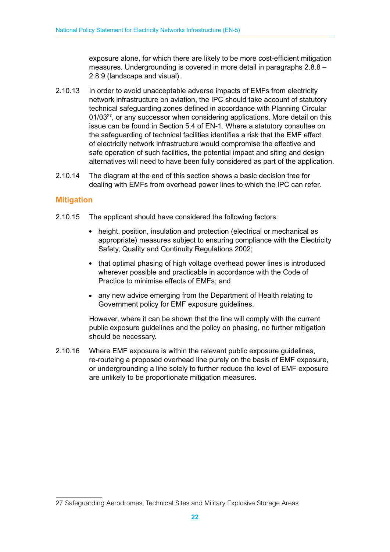exposure alone, for which there are likely to be more cost-efficient mitigation measures. Undergrounding is covered in more detail in paragraphs 2.8.8 – 2.8.9 (landscape and visual).

- 2.10.13 In order to avoid unacceptable adverse impacts of EMFs from electricity network infrastructure on aviation, the IPC should take account of statutory technical safeguarding zones defined in accordance with Planning Circular 01/03<sup>27</sup>, or any successor when considering applications. More detail on this issue can be found in Section 5.4 of EN-1. Where a statutory consultee on the safeguarding of technical facilities identifies a risk that the EMF effect of electricity network infrastructure would compromise the effective and safe operation of such facilities, the potential impact and siting and design alternatives will need to have been fully considered as part of the application.
- 2.10.14 The diagram at the end of this section shows a basic decision tree for dealing with EMFs from overhead power lines to which the IPC can refer.

#### **Mitigation**

- 2.10.15 The applicant should have considered the following factors:
	- height, position, insulation and protection (electrical or mechanical as appropriate) measures subject to ensuring compliance with the Electricity Safety, Quality and Continuity Regulations 2002;
	- that optimal phasing of high voltage overhead power lines is introduced wherever possible and practicable in accordance with the Code of Practice to minimise effects of EMFs; and
	- any new advice emerging from the Department of Health relating to Government policy for EMF exposure guidelines.

However, where it can be shown that the line will comply with the current public exposure guidelines and the policy on phasing, no further mitigation should be necessary.

2.10.16 Where EMF exposure is within the relevant public exposure guidelines, re-routeing a proposed overhead line purely on the basis of EMF exposure, or undergrounding a line solely to further reduce the level of EMF exposure are unlikely to be proportionate mitigation measures.

<sup>27</sup> Safeguarding Aerodromes, Technical Sites and Military Explosive Storage Areas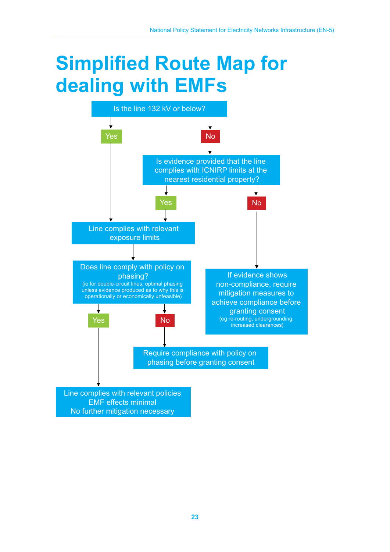# **Simplified Route Map for dealing with EMFs**



No further mitigation necessary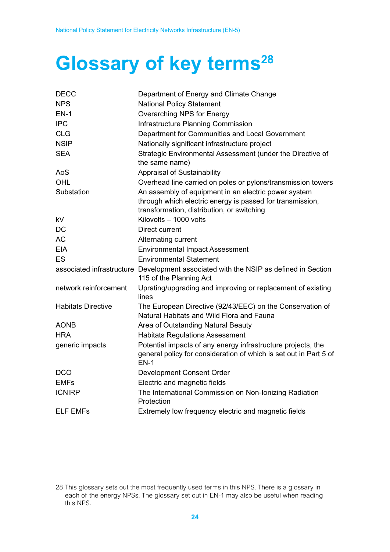# **Glossary of key terms<sup>28</sup>**

| <b>DECC</b>               | Department of Energy and Climate Change                                                                                                                         |
|---------------------------|-----------------------------------------------------------------------------------------------------------------------------------------------------------------|
| <b>NPS</b>                | <b>National Policy Statement</b>                                                                                                                                |
| $EN-1$                    | Overarching NPS for Energy                                                                                                                                      |
| <b>IPC</b>                | Infrastructure Planning Commission                                                                                                                              |
| <b>CLG</b>                | Department for Communities and Local Government                                                                                                                 |
| <b>NSIP</b>               | Nationally significant infrastructure project                                                                                                                   |
| <b>SEA</b>                | Strategic Environmental Assessment (under the Directive of<br>the same name)                                                                                    |
| AoS                       | <b>Appraisal of Sustainability</b>                                                                                                                              |
| OHL                       | Overhead line carried on poles or pylons/transmission towers                                                                                                    |
| Substation                | An assembly of equipment in an electric power system<br>through which electric energy is passed for transmission,<br>transformation, distribution, or switching |
| kV                        | Kilovolts - 1000 volts                                                                                                                                          |
| DC                        | Direct current                                                                                                                                                  |
| <b>AC</b>                 | Alternating current                                                                                                                                             |
| <b>EIA</b>                | <b>Environmental Impact Assessment</b>                                                                                                                          |
| ES                        | <b>Environmental Statement</b>                                                                                                                                  |
|                           | associated infrastructure Development associated with the NSIP as defined in Section<br>115 of the Planning Act                                                 |
| network reinforcement     | Uprating/upgrading and improving or replacement of existing<br>lines                                                                                            |
| <b>Habitats Directive</b> | The European Directive (92/43/EEC) on the Conservation of<br>Natural Habitats and Wild Flora and Fauna                                                          |
| <b>AONB</b>               | Area of Outstanding Natural Beauty                                                                                                                              |
| <b>HRA</b>                | <b>Habitats Regulations Assessment</b>                                                                                                                          |
| generic impacts           | Potential impacts of any energy infrastructure projects, the<br>general policy for consideration of which is set out in Part 5 of<br>$EN-1$                     |
| <b>DCO</b>                | Development Consent Order                                                                                                                                       |
| <b>EMFs</b>               | Electric and magnetic fields                                                                                                                                    |
| <b>ICNIRP</b>             | The International Commission on Non-Ionizing Radiation<br>Protection                                                                                            |
| <b>ELF EMFs</b>           | Extremely low frequency electric and magnetic fields                                                                                                            |

<sup>28</sup> This glossary sets out the most frequently used terms in this NPS. There is a glossary in each of the energy NPSs. The glossary set out in EN-1 may also be useful when reading this NPS.